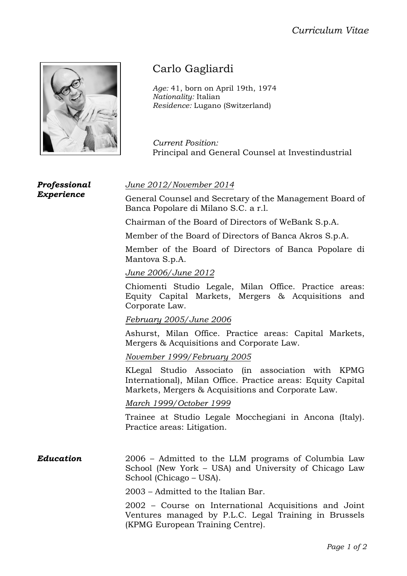## *Curriculum Vitae*



## Carlo Gagliardi

*Age:* 41, born on April 19th, 1974 *Nationality:* Italian *Residence:* Lugano (Switzerland)

*Current Position:* Principal and General Counsel at Investindustrial

*Professional Experience*

*June 2012/November 2014*

General Counsel and Secretary of the Management Board of Banca Popolare di Milano S.C. a r.l.

Chairman of the Board of Directors of WeBank S.p.A.

Member of the Board of Directors of Banca Akros S.p.A.

Member of the Board of Directors of Banca Popolare di Mantova S.p.A.

*June 2006/June 2012*

Chiomenti Studio Legale, Milan Office. Practice areas: Equity Capital Markets, Mergers & Acquisitions and Corporate Law.

## *February 2005/June 2006*

Ashurst, Milan Office. Practice areas: Capital Markets, Mergers & Acquisitions and Corporate Law.

*November 1999/February 2005*

KLegal Studio Associato (in association with KPMG International), Milan Office. Practice areas: Equity Capital Markets, Mergers & Acquisitions and Corporate Law.

*March 1999/October 1999*

Trainee at Studio Legale Mocchegiani in Ancona (Italy). Practice areas: Litigation.

*Education* 2006 – Admitted to the LLM programs of Columbia Law School (New York – USA) and University of Chicago Law School (Chicago – USA).

2003 – Admitted to the Italian Bar.

2002 – Course on International Acquisitions and Joint Ventures managed by P.L.C. Legal Training in Brussels (KPMG European Training Centre).